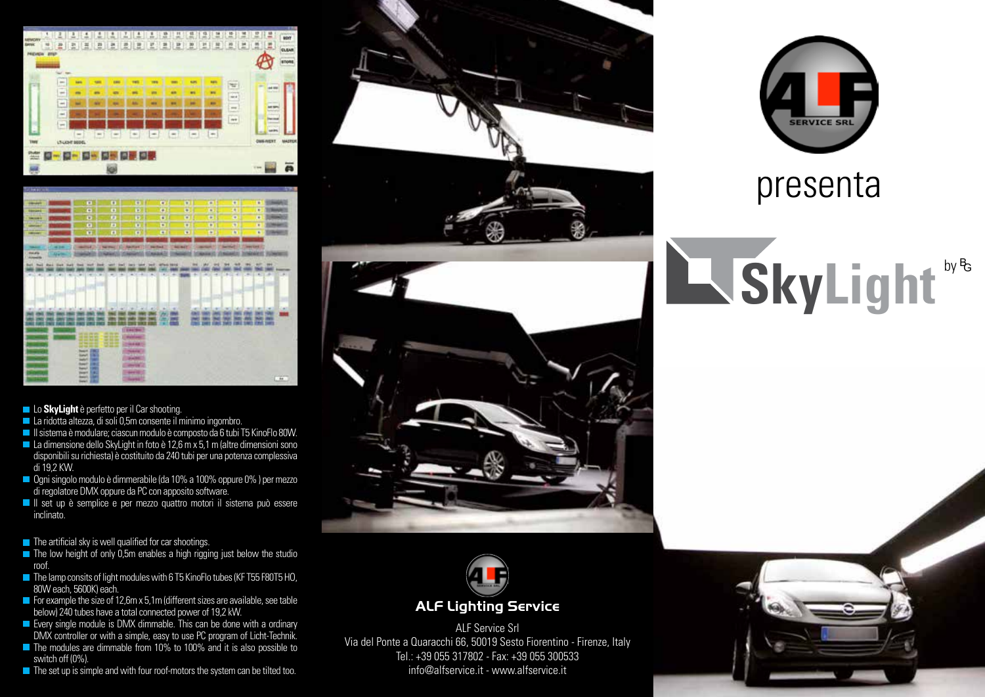



**Lo SkyLight** è perfetto per il Car shooting.

- La ridotta altezza, di soli 0,5m consente il minimo ingombro.
- Il sistema è modulare; ciascun modulo è composto da 6 tubi T5 KinoFlo 80W.
- $\blacksquare$  La dimensione dello SkyLight in foto è 12,6 m x 5,1 m (altre dimensioni sono disponibili su richiesta) è costituito da 240 tubi per una potenza complessiva di 19,2 KW.
- Ogni singolo modulo è dimmerabile (da 10% a 100% oppure 0%) per mezzo di regolatore DMX oppure da PC con apposito software.
- Il set up è semplice e per mezzo quattro motori il sistema può essere inclinato.

 $\blacksquare$  The artificial sky is well qualified for car shootings.

- The low height of only 0.5m enables a high rigging just below the studio roof.
- The lamp consits of light modules with 6 T5 KinoFlo tubes (KFT55 F80T5 HO, 80W each, 5600K) each.
- $\blacksquare$  For example the size of 12,6m x 5,1m (different sizes are available, see table below) 240 tubes have a total connected power of 19,2 kW.
- **E** Every single module is DMX dimmable. This can be done with a ordinary DMX controller or with a simple, easy to use PC program of Licht-Technik.
- The modules are dimmable from 10% to 100% and it is also possible to switch off (0%).
- $\blacksquare$  The set up is simple and with four roof-motors the system can be tilted too.





## **ALF Lighting Service**

ALF Service Srl Via del Ponte a Quaracchi 66, 50019 Sesto Fiorentino - Firenze, Italy Tel.: +39 055 317802 - Fax: +39 055 300533 info@alfservice.it - www.alfservice.it



## presenta

## **SkyLight** by <sup>B</sup>G